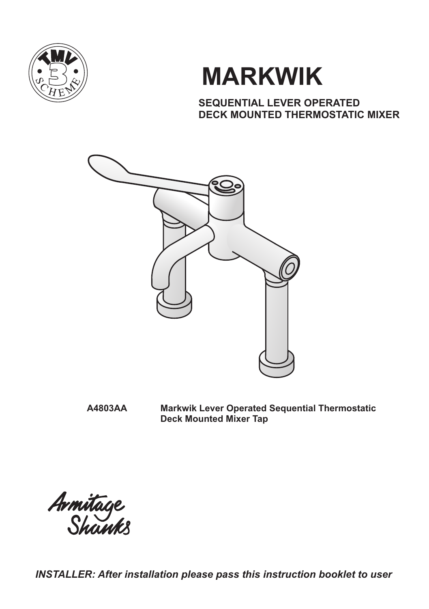

# **MARKWIK**

### **SEQUENTIAL LEVER OPERATED DECK MOUNTED THERMOSTATIC MIXER**



**A4803AA Markwik Lever Operated Sequential Thermostatic Deck Mounted Mixer Tap**

Armitage<br>Shanks

*INSTALLER: After installation please pass this instruction booklet to user*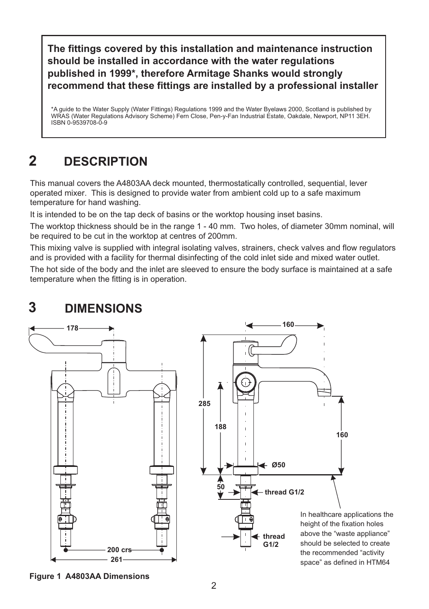**The fittings covered by this installation and maintenance instruction should be installed in accordance with the water regulations published in 1999\*, therefore Armitage Shanks would strongly recommend that these fittings are installed by a professional installer**

\*A guide to the Water Supply (Water Fittings) Regulations 1999 and the Water Byelaws 2000, Scotland is published by WRAS (Water Regulations Advisory Scheme) Fern Close, Pen-y-Fan Industrial Estate, Oakdale, Newport, NP11 3EH. ISBN 0-9539708-0-9

#### **DESCRIPTION 2**

This manual covers the A4803AA deck mounted, thermostatically controlled, sequential, lever operated mixer. This is designed to provide water from ambient cold up to a safe maximum temperature for hand washing.

It is intended to be on the tap deck of basins or the worktop housing inset basins.

The worktop thickness should be in the range 1 - 40 mm. Two holes, of diameter 30mm nominal, will be required to be cut in the worktop at centres of 200mm.

This mixing valve is supplied with integral isolating valves, strainers, check valves and flow regulators and is provided with a facility for thermal disinfecting of the cold inlet side and mixed water outlet.

The hot side of the body and the inlet are sleeved to ensure the body surface is maintained at a safe temperature when the fitting is in operation.

# **3 DIMENSIONS**



In healthcare applications the height of the fixation holes above the "waste appliance" should be selected to create the recommended "activity space" as defined in HTM64

**160**

**Figure 1 A4803AA Dimensions**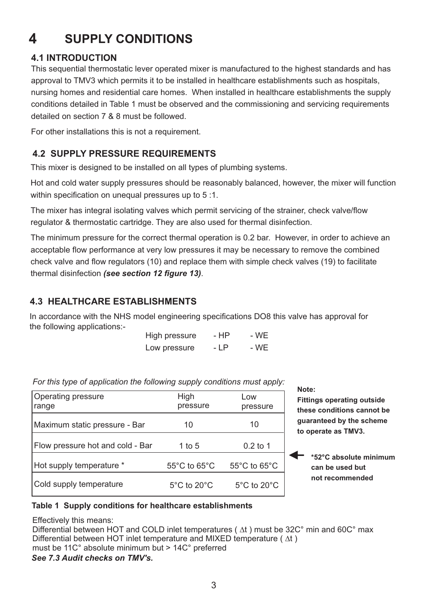# **4 SUPPLY CONDITIONS**

#### **4.1 INTRODUCTION**

This sequential thermostatic lever operated mixer is manufactured to the highest standards and has approval to TMV3 which permits it to be installed in healthcare establishments such as hospitals, nursing homes and residential care homes. When installed in healthcare establishments the supply conditions detailed in Table 1 must be observed and the commissioning and servicing requirements detailed on section 7 & 8 must be followed.

For other installations this is not a requirement.

### **4.2 SUPPLY PRESSURE REQUIREMENTS**

This mixer is designed to be installed on all types of plumbing systems.

Hot and cold water supply pressures should be reasonably balanced, however, the mixer will function within specification on unequal pressures up to 5 :1.

The mixer has integral isolating valves which permit servicing of the strainer, check valve/flow regulator & thermostatic cartridge. They are also used for thermal disinfection.

The minimum pressure for the correct thermal operation is 0.2 bar. However, in order to achieve an acceptable flow performance at very low pressures it may be necessary to remove the combined check valve and flow regulators (10) and replace them with simple check valves (19) to facilitate thermal disinfection *(see section 12 figure 13)*.

### **4.3 HEALTHCARE ESTABLISHMENTS**

In accordance with the NHS model engineering specifications DO8 this valve has approval for the following applications:-

| High pressure | - HP  | - WE |
|---------------|-------|------|
| Low pressure  | - I P | - WE |

|                                  | .                                 |                                  |
|----------------------------------|-----------------------------------|----------------------------------|
| Operating pressure<br>range      | High<br>pressure                  | Low<br>pressure                  |
| Maximum static pressure - Bar    | 10                                | 10                               |
| Flow pressure hot and cold - Bar | 1 to 5                            | $0.2$ to 1                       |
| Hot supply temperature *         | $55^{\circ}$ C to 65 $^{\circ}$ C | $55^{\circ}$ C to $65^{\circ}$ C |
| Cold supply temperature          | $5^{\circ}$ C to 20 $^{\circ}$ C  | $5^{\circ}$ C to 20 $^{\circ}$ C |

*For this type of application the following supply conditions must apply:*

**Note:**

**Fittings operating outside the conditions cannot be guaranteed by the scheme to operate as TMV3.**

**\*52°C absolute minimum can be used but not recommended**

#### **Table 1 Supply conditions for healthcare establishments**

Effectively this means: Differential between HOT and COLD inlet temperatures ( ∆t ) must be 32C° min and 60C° max Differential between HOT inlet temperature and MIXED temperature ( ∆t ) must be 11C° absolute minimum but > 14C° preferred *See 7.3 Audit checks on TMV's.*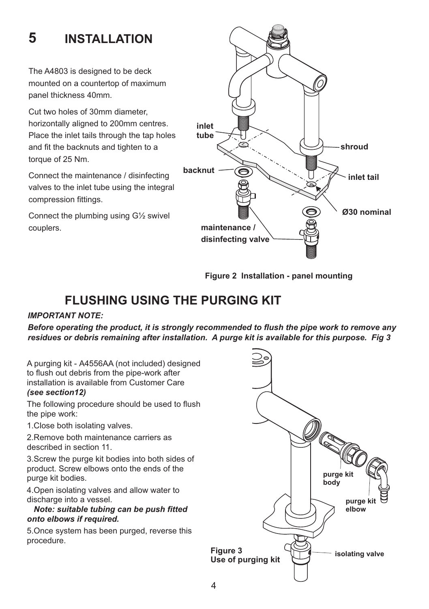# **5 INSTALLATION**

The A4803 is designed to be deck mounted on a countertop of maximum panel thickness 40mm.

Cut two holes of 30mm diameter, horizontally aligned to 200mm centres. Place the inlet tails through the tap holes and fit the backnuts and tighten to a torque of 25 Nm.

Connect the maintenance / disinfecting valves to the inlet tube using the integral compression fittings.

Connect the plumbing using  $G\frac{1}{2}$  swivel couplers.



**Figure 2 Installation - panel mounting**

### **FLUSHING USING THE PURGING KIT**

#### *IMPORTANT NOTE:*

*Before operating the product, it is strongly recommended to flush the pipe work to remove any residues or debris remaining after installation. A purge kit is available for this purpose. Fig 3*

A purging kit - A4556AA (not included) designed to flush out debris from the pipe-work after installation is available from Customer Care *(see section12)*

The following procedure should be used to flush the pipe work:

1.Close both isolating valves.

2.Remove both maintenance carriers as described in section 11.

3.Screw the purge kit bodies into both sides of product. Screw elbows onto the ends of the purge kit bodies.

4.Open isolating valves and allow water to discharge into a vessel.

#### *Note: suitable tubing can be push fitted onto elbows if required.*

5.Once system has been purged, reverse this procedure.

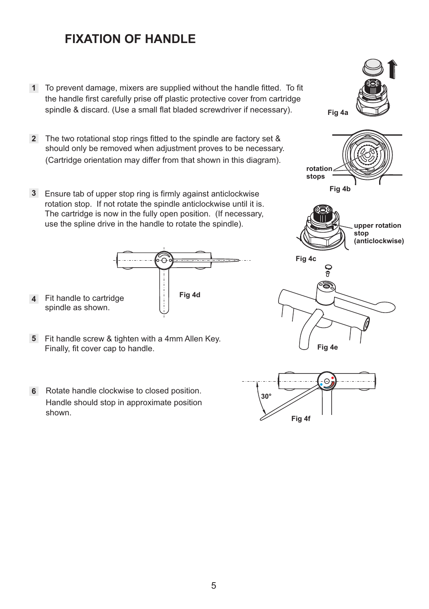### **FIXATION OF HANDLE**

- To prevent damage, mixers are supplied without the handle fitted. To fit **1** the handle first carefully prise off plastic protective cover from cartridge spindle & discard. (Use a small flat bladed screwdriver if necessary).
- The two rotational stop rings fitted to the spindle are factory set & **2** should only be removed when adjustment proves to be necessary. (Cartridge orientation may differ from that shown in this diagram).
- Ensure tab of upper stop ring is firmly against anticlockwise **3** rotation stop. If not rotate the spindle anticlockwise until it is. The cartridge is now in the fully open position. (If necessary, use the spline drive in the handle to rotate the spindle).



- **4** Fit handle to cartridge spindle as shown.
- **5** Fit handle screw & tighten with a 4mm Allen Key. Finally, fit cover cap to handle.
- Rotate handle clockwise to closed position. **6** Handle should stop in approximate position shown.



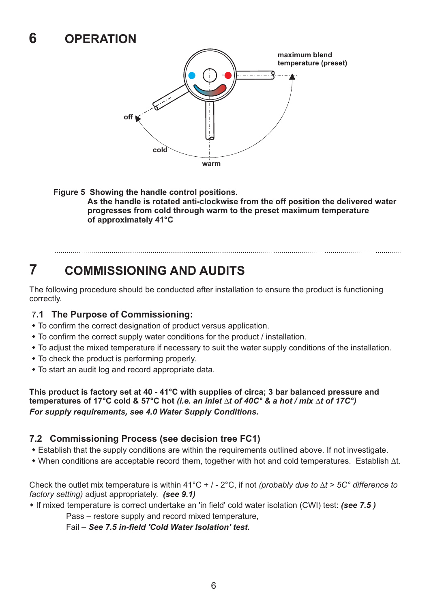# **6 OPERATION**



**Figure 5 Showing the handle control positions. As the handle is rotated anti-clockwise from the off position the delivered water progresses from cold through warm to the preset maximum temperature of approximately 41°C**

#### **7 COMMISSIONING AND AUDITS**

The following procedure should be conducted after installation to ensure the product is functioning correctly.

#### 7.1 The Purpose of Commissioning:

- $\bullet$  To confirm the correct designation of product versus application.
- $\bullet$  To confirm the correct supply water conditions for the product *l* installation.
- ◆ To confirm the correct supply water conditions for the product / installation.<br>◆ To adjust the mixed temperature if necessary to suit the water supply cond \* To adjust the mixed temperature if necessary to suit the water supply conditions of the installation.<br>\* To check the product is performing properly.
- 
- wTo check the product is performing properly. To start an audit log and record appropriate data.

**This product is factory set at 40 - 41°C with supplies of circa; 3 bar balanced pressure and temperatures of 17°C cold & 57°C hot** *(i.e. an inlet ∆t of 40 & a hot / mix ∆t of 17 ) C° C° For supply requirements, see 4.0 Water Supply Conditions.*

#### **7.2 Commissioning Process (see decision tree FC1)**

- 
- wwEstablish that the supply conditions are within the requirements outlined above. If not investigate. When conditions are acceptable record them, together with hot and cold temperatures. Establish ∆t.

Check the outlet mix temperature is within 41°C + / - 2°C, if not *(probably due to ∆t > 5C° difference to* factory setting) adjust appropriately. (see 9.1)

If mixed temperature is correct undertake an 'in field' cold water isolation (CWI) test: *(see 7.5 )*

Pass – restore supply and record mixed temperature,

Fail – *See 7.5 in-field 'Cold Water Isolation' test.*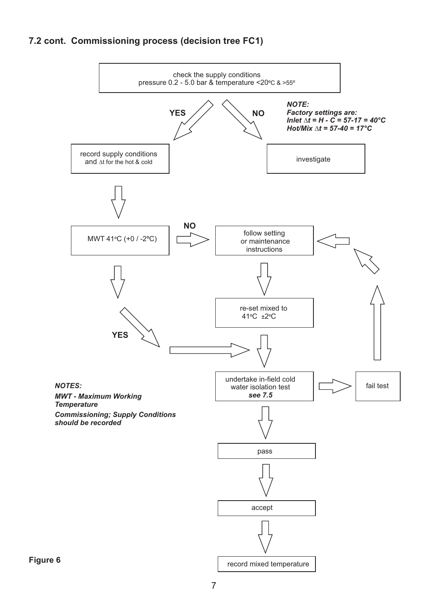### **7.2 cont. Commissioning process (decision tree FC1)**

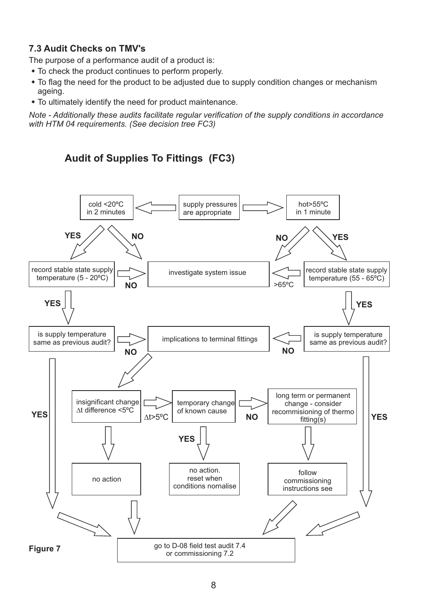#### **7.3 Audit Checks on TMV's**

The purpose of a performance audit of a product is:

- 
- ◆ To check the product continues to perform properly.<br>◆ To flag the need for the product to be adjusted due to supply condition changes or mechanism
- ageing.<br>◆ To ultimately identify the need for product maintenance.

*Note - Additionally these audits facilitate regular verification of the supply conditions in accordance with HTM 04 requirements. (See decision tree FC3)*

### **Audit of Supplies To Fittings (FC3)**

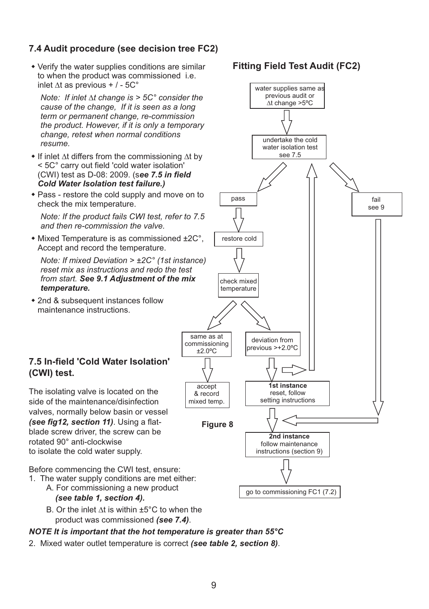#### **7.4 Audit procedure (see decision tree FC2)**

 $\bullet$  Verify the water supplies conditions are similar to when the product was commissioned i.e. inlet ∆t as previous + / - 5C°

*Note: If inlet ∆t change is > 5C° consider the cause of the change, If it is seen as a long term or permanent change, re-commission the product. However, if it is only a temporary change, retest when normal conditions* 

- w*resume.* If inlet ∆t differs from the commissioning ∆t by < 5C° carry out field 'cold water isolation' (CWI) test as D-08: 2009. (s*ee 7.5 in field*
- **Cold Water Isolation test failure.)**<br>• Pass restore the cold supply and move on to check the mix temperature.

*Note: If the product fails CWI test, refer to 7.5* 

and then re-commission the valve.<br>• Mixed Temperature is as commissioned ±2C°, Accept and record the temperature.

*Note: If mixed Deviation > ±2C° (1st instance) reset mix as instructions and redo the test from start. See 9.1 Adjustment of the mix* 

w*temperature.* 2nd & subsequent instances follow maintenance instructions.

#### **7.5 In-field 'Cold Water Isolation' (CWI) test.**

The isolating valve is located on the side of the maintenance/disinfection valves, normally below basin or vessel *(see fig12, section 11)*. Using a flatblade screw driver, the screw can be rotated 90° anti-clockwise to isolate the cold water supply.

Before commencing the CWI test, ensure:

- 1. The water supply conditions are met either: A. For commissioning a new product
	- *(see table 1, section 4).*
	- B. Or the inlet ∆t is within ±5°C to when the product was commissioned *(see 7.4)*.

### *NOTE It is important that the hot temperature is greater than 55°C*

2. Mixed water outlet temperature is correct *(see table 2, section 8)*.

### **Fitting Field Test Audit (FC2)**

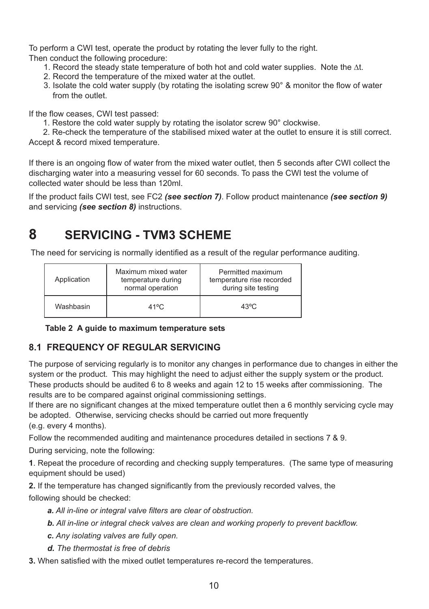To perform a CWI test, operate the product by rotating the lever fully to the right.

Then conduct the following procedure:

- 1. Record the steady state temperature of both hot and cold water supplies. Note the ∆t.
- 2. Record the temperature of the mixed water at the outlet.
- 3. Isolate the cold water supply (by rotating the isolating screw 90° & monitor the flow of water from the outlet.

If the flow ceases, CWI test passed:

1. Restore the cold water supply by rotating the isolator screw 90° clockwise.

2. Re-check the temperature of the stabilised mixed water at the outlet to ensure it is still correct. Accept & record mixed temperature.

If there is an ongoing flow of water from the mixed water outlet, then 5 seconds after CWI collect the discharging water into a measuring vessel for 60 seconds. To pass the CWI test the volume of collected water should be less than 120ml.

If the product fails CWI test, see FC2 *(see section 7)*. Follow product maintenance *(see section 9)* and servicing *(see section 8)* instructions.

# **8 SERVICING - TVM3 SCHEME**

The need for servicing is normally identified as a result of the regular performance auditing.

| Application | Maximum mixed water<br>temperature during<br>normal operation | Permitted maximum<br>temperature rise recorded<br>during site testing |
|-------------|---------------------------------------------------------------|-----------------------------------------------------------------------|
| Washbasin   | $41^{\circ}$ C                                                | $43^{\circ}$ C                                                        |

#### **Table 2 A guide to maximum temperature sets**

#### **8.1 FREQUENCY OF REGULAR SERVICING**

The purpose of servicing regularly is to monitor any changes in performance due to changes in either the system or the product. This may highlight the need to adjust either the supply system or the product. These products should be audited 6 to 8 weeks and again 12 to 15 weeks after commissioning. The results are to be compared against original commissioning settings.

If there are no significant changes at the mixed temperature outlet then a 6 monthly servicing cycle may be adopted. Otherwise, servicing checks should be carried out more frequently (e.g. every 4 months).

Follow the recommended auditing and maintenance procedures detailed in sections 7 & 9.

During servicing, note the following:

**1**. Repeat the procedure of recording and checking supply temperatures. (The same type of measuring equipment should be used)

**2.** If the temperature has changed significantly from the previously recorded valves, the following should be checked:

*a. All in-line or integral valve filters are clear of obstruction.*

- *b. All in-line or integral check valves are clean and working properly to prevent backflow.*
- *c. Any isolating valves are fully open.*
- *d. The thermostat is free of debris*
- **3.** When satisfied with the mixed outlet temperatures re-record the temperatures.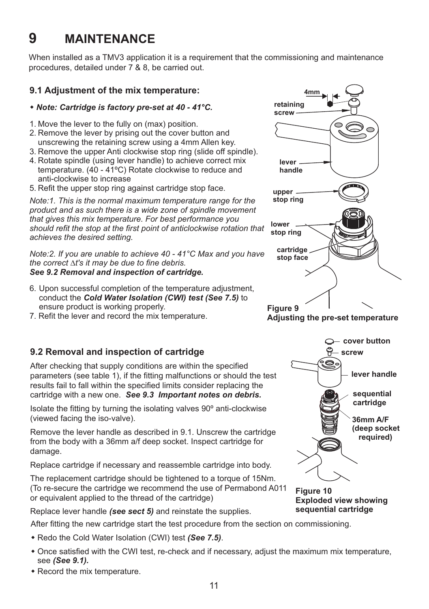# **9 MAINTENANCE**

When installed as a TMV3 application it is a requirement that the commissioning and maintenance procedures, detailed under 7 & 8, be carried out.

#### **9.1 Adjustment of the mix temperature:**

#### w*Note: Cartridge is factory pre-set at 40 - 41°C.*

- 1. Move the lever to the fully on (max) position.
- 2. Remove the lever by prising out the cover button and unscrewing the retaining screw using a 4mm Allen key.
- 3. Remove the upper Anti clockwise stop ring (slide off spindle).
- 4. Rotate spindle (using lever handle) to achieve correct mix temperature. (40 - 41ºC) Rotate clockwise to reduce and anti-clockwise to increase
- 5. Refit the upper stop ring against cartridge stop face.

*Note:1. This is the normal maximum temperature range for the product and as such there is a wide zone of spindle movement that gives this mix temperature. For best performance you should refit the stop at the first point of anticlockwise rotation that achieves the desired setting.*

*Note:2. If you are unable to achieve 40 - 41°C Max and you have the correct ∆t's it may be due to fine debris. See 9.2 Removal and inspection of cartridge.*

- 6. Upon successful completion of the temperature adjustment, conduct the *Cold Water Isolation (CWI) test (See 7.5)* to ensure product is working properly.
- 7. Refit the lever and record the mix temperature.

### **9.2 Removal and inspection of cartridge**

parameters (see table 1), if the fitting malfunctions or should the test results fail to fall within the specified limits consider replacing the cartridge with a new one. *See 9.3 Important notes on debris.* After checking that supply conditions are within the specified

Isolate the fitting by turning the isolating valves 90° anti-clockwise (viewed facing the iso-valve).

Remove the lever handle as described in 9.1. Unscrew the cartridge from the body with a 36mm a/f deep socket. Inspect cartridge for damage.

Replace cartridge if necessary and reassemble cartridge into body.

The replacement cartridge should be tightened to a torque of 15Nm. (To re-secure the cartridge we recommend the use of Permabond A011 or equivalent applied to the thread of the cartridge)

Replace lever handle *(see sect 5)* and reinstate the supplies.

After fitting the new cartridge start the test procedure from the section on commissioning.

- \* Redo the Cold Water Isolation *(CWI)* test *(See 7.5)*.
- Once satisfied with the CWI test, re-check and if necessary, adjust the maximum mix temperature,
- see *(See 9.1).*<br>• Record the mix temperature.



**Adjusting the pre-set temperature**



**Figure 10 Exploded view showing sequential cartridge**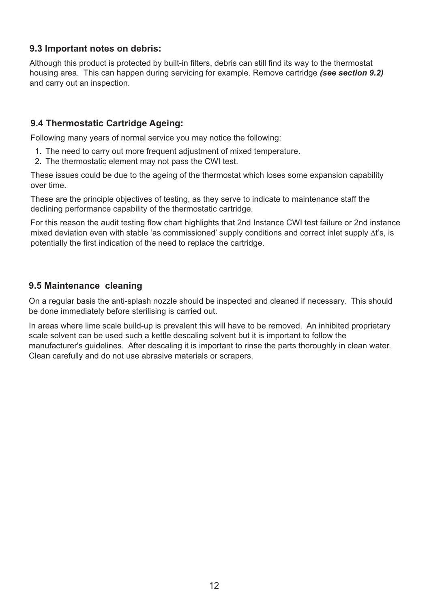#### **9.3 Important notes on debris:**

Although this product is protected by built-in filters, debris can still find its way to the thermostat housing area. This can happen during servicing for example. Remove cartridge *(see section 9.2)* and carry out an inspection.

#### **9.4 Thermostatic Cartridge Ageing:**

Following many years of normal service you may notice the following:

- 1. The need to carry out more frequent adjustment of mixed temperature.
- 2. The thermostatic element may not pass the CWI test.

These issues could be due to the ageing of the thermostat which loses some expansion capability over time.

These are the principle objectives of testing, as they serve to indicate to maintenance staff the declining performance capability of the thermostatic cartridge.

For this reason the audit testing flow chart highlights that 2nd Instance CWI test failure or 2nd instance mixed deviation even with stable 'as commissioned' supply conditions and correct inlet supply ∆t's, is potentially the first indication of the need to replace the cartridge.

#### **9.5 Maintenance cleaning**

On a regular basis the anti-splash nozzle should be inspected and cleaned if necessary. This should be done immediately before sterilising is carried out.

In areas where lime scale build-up is prevalent this will have to be removed. An inhibited proprietary scale solvent can be used such a kettle descaling solvent but it is important to follow the manufacturer's guidelines. After descaling it is important to rinse the parts thoroughly in clean water. Clean carefully and do not use abrasive materials or scrapers.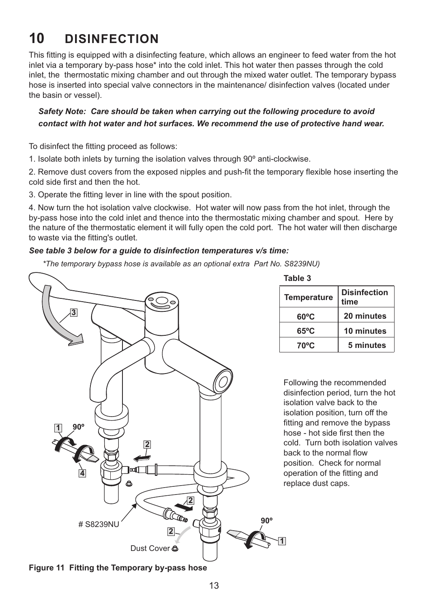#### **10 DISINFECTION**

This fitting is equipped with a disinfecting feature, which allows an engineer to feed water from the hot inlet via a temporary by-pass hose\* into the cold inlet. This hot water then passes through the cold inlet, the thermostatic mixing chamber and out through the mixed water outlet. The temporary bypass hose is inserted into special valve connectors in the maintenance/ disinfection valves (located under the basin or vessel).

#### *Safety Note: Care should be taken when carrying out the following procedure to avoid contact with hot water and hot surfaces. We recommend the use of protective hand wear.*

To disinfect the fitting proceed as follows:

1. Isolate both inlets by turning the isolation valves through 90° anti-clockwise.

2. Remove dust covers from the exposed nipples and push-fit the temporary flexible hose inserting the cold side first and then the hot.

3. Operate the fitting lever in line with the spout position.

4. Now turn the hot isolation valve clockwise. Hot water will now pass from the hot inlet, through the by-pass hose into the cold inlet and thence into the thermostatic mixing chamber and spout. Here by the nature of the thermostatic element it will fully open the cold port. The hot water will then discharge to waste via the fitting's outlet.

#### *See table 3 below for a guide to disinfection temperatures v/s time:*

*\*The temporary bypass hose is available as an optional extra Part No. S8239NU)*



**Table 3**

**1**

| <b>Temperature</b> | <b>Disinfection</b><br>time |
|--------------------|-----------------------------|
| 60°C               | 20 minutes                  |
| 65°C               | 10 minutes                  |
| 70°C               | 5 minutes                   |

Following the recommended disinfection period, turn the hot isolation valve back to the isolation position, turn off the fitting and remove the bypass hose - hot side first then the cold. Turn both isolation valves back to the normal flow position. Check for normal operation of the fitting and replace dust caps.

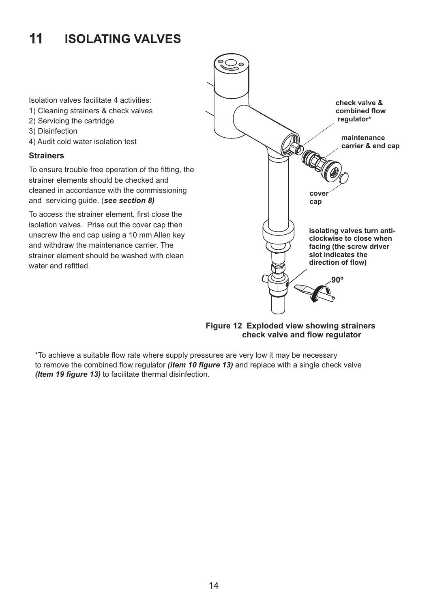#### **ISOLATING VALVES 11**

Isolation valves facilitate 4 activities:

- 1) Cleaning strainers & check valves
- 2) Servicing the cartridge
- 3) Disinfection
- 4) Audit cold water isolation test

#### **Strainers**

To ensure trouble free operation of the fitting, the strainer elements should be checked and cleaned in accordance with the commissioning and servicing guide. (*see section 8)*

To access the strainer element, first close the isolation valves. Prise out the cover cap then unscrew the end cap using a 10 mm Allen key and withdraw the maintenance carrier. The strainer element should be washed with clean water and refitted.



**Figure 12 Exploded view showing strainers check valve and flow regulator**

\*To achieve a suitable flow rate where supply pressures are very low it may be necessary to remove the combined flow regulator *(item 10 figure 13)* and replace with a single check valve *(Item 19 figure 13)* to facilitate thermal disinfection.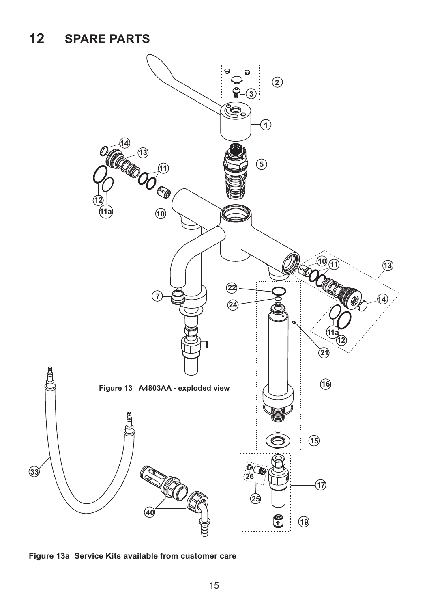### **SPARE PARTS**



**Figure 13a Service Kits available from customer care**